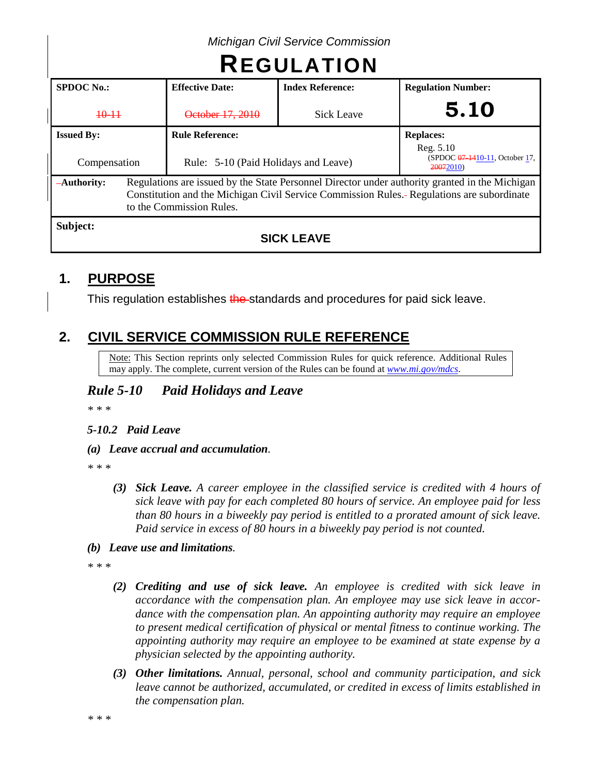| <b>REGULATION</b>                 |  |                                                                                                                                                                                                                          |                         |                                                                              |  |  |
|-----------------------------------|--|--------------------------------------------------------------------------------------------------------------------------------------------------------------------------------------------------------------------------|-------------------------|------------------------------------------------------------------------------|--|--|
| <b>SPDOC No.:</b>                 |  | <b>Effective Date:</b>                                                                                                                                                                                                   | <b>Index Reference:</b> | <b>Regulation Number:</b>                                                    |  |  |
| $+0-11$                           |  | October 17, 2010                                                                                                                                                                                                         | <b>Sick Leave</b>       | 5.10                                                                         |  |  |
| <b>Issued By:</b><br>Compensation |  | <b>Rule Reference:</b><br>Rule: 5-10 (Paid Holidays and Leave)                                                                                                                                                           |                         | <b>Replaces:</b><br>Reg. 5.10<br>(SPDOC 07-1410-11, October 17,<br>20072010) |  |  |
| -Authority:                       |  | Regulations are issued by the State Personnel Director under authority granted in the Michigan<br>Constitution and the Michigan Civil Service Commission Rules.- Regulations are subordinate<br>to the Commission Rules. |                         |                                                                              |  |  |
| Subject:                          |  |                                                                                                                                                                                                                          |                         |                                                                              |  |  |

*Michigan Civil Service Commission*

## **SICK LEAVE**

# **1. PURPOSE**

This regulation establishes the standards and procedures for paid sick leave.

# **2. CIVIL SERVICE COMMISSION RULE REFERENCE**

Note: This Section reprints only selected Commission Rules for quick reference. Additional Rules may apply. The complete, current version of the Rules can be found at *[www.mi.gov/mdcs](http://www.mi.gov/mdcs)*.

# *Rule 5-10 Paid Holidays and Leave*

*\* \* \**

## *5-10.2 Paid Leave*

## *(a) Leave accrual and accumulation.*

*\* \* \**

*(3) Sick Leave. A career employee in the classified service is credited with 4 hours of sick leave with pay for each completed 80 hours of service. An employee paid for less than 80 hours in a biweekly pay period is entitled to a prorated amount of sick leave. Paid service in excess of 80 hours in a biweekly pay period is not counted.*

## *(b) Leave use and limitations.*

*\* \* \**

- *(2) Crediting and use of sick leave. An employee is credited with sick leave in accordance with the compensation plan. An employee may use sick leave in accordance with the compensation plan. An appointing authority may require an employee to present medical certification of physical or mental fitness to continue working. The appointing authority may require an employee to be examined at state expense by a physician selected by the appointing authority.*
- *(3) Other limitations. Annual, personal, school and community participation, and sick leave cannot be authorized, accumulated, or credited in excess of limits established in the compensation plan.*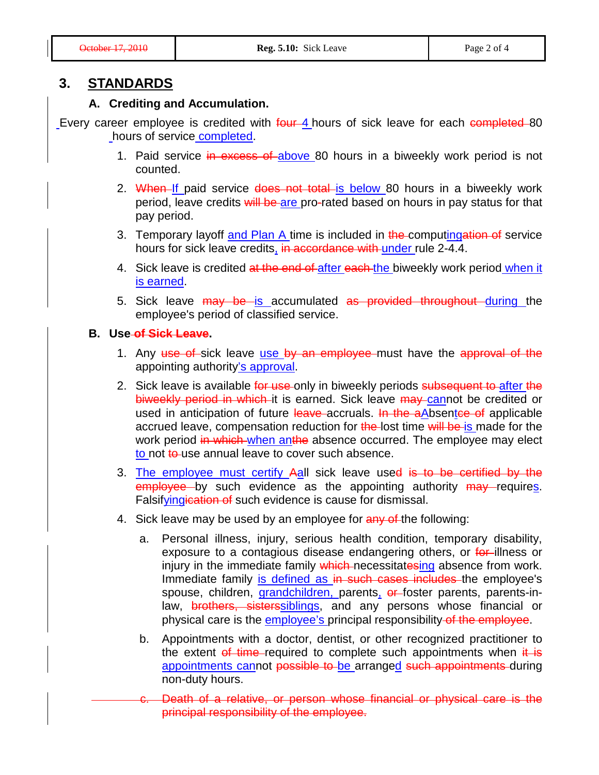## **3. STANDARDS**

### **A. Crediting and Accumulation.**

Every career employee is credited with four 4 hours of sick leave for each completed 80 hours of service completed.

- 1. Paid service in excess of above 80 hours in a biweekly work period is not counted.
- 2. When If paid service does not total is below 80 hours in a biweekly work period, leave credits will be are pro-rated based on hours in pay status for that pay period.
- 3. Temporary layoff and Plan A time is included in the computingation of service hours for sick leave credits, in accordance with under rule 2-4.4.
- 4. Sick leave is credited at the end of after each the biweekly work period when it is earned.
- 5. Sick leave may be is accumulated as provided throughout during the employee's period of classified service.

#### **B. Use of Sick Leave.**

- 1. Any use of sick leave use by an employee must have the approval of the appointing authority's approval.
- 2. Sick leave is available for use only in biweekly periods subsequent to after the biweekly period in which it is earned. Sick leave may cannot be credited or used in anticipation of future leave accruals. In the a Absentce of applicable accrued leave, compensation reduction for the lost time will be is made for the work period in which when anthe absence occurred. The employee may elect to not to use annual leave to cover such absence.
- 3. The employee must certify Aall sick leave used is to be certified by the employee by such evidence as the appointing authority may requires. Falsifyingication of such evidence is cause for dismissal.
- 4. Sick leave may be used by an employee for any of the following:
	- a. Personal illness, injury, serious health condition, temporary disability, exposure to a contagious disease endangering others, or for illness or injury in the immediate family which necessitatesing absence from work. Immediate family is defined as in such cases includes the employee's spouse, children, grandchildren, parents, or foster parents, parents-inlaw, **brothers, sisterssiblings**, and any persons whose financial or physical care is the employee's principal responsibility of the employee.
	- b. Appointments with a doctor, dentist, or other recognized practitioner to the extent of time required to complete such appointments when  $\frac{d}{dx}$  is appointments cannot possible to be arranged such appointments during non-duty hours.
		- Death of a relative, or person whose financial or physical care is the principal responsibility of the employee.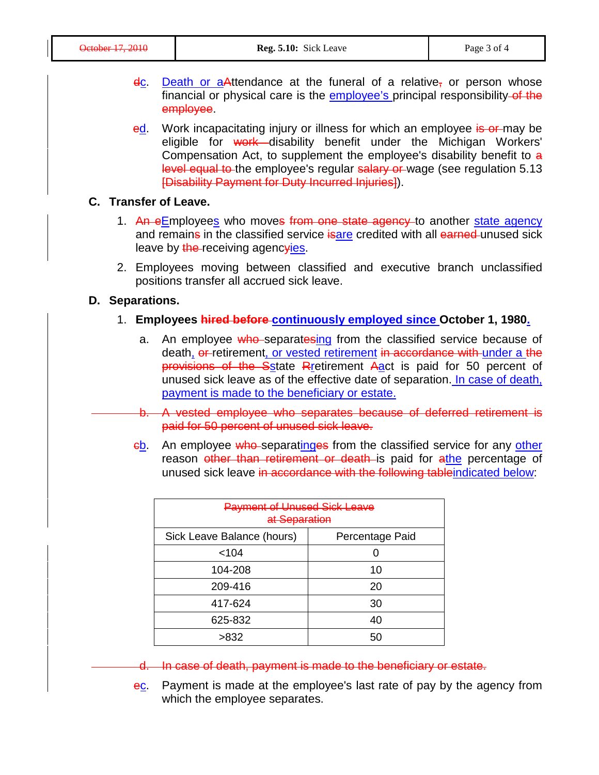- $\frac{d}{dx}$ . Death or a Attendance at the funeral of a relative, or person whose financial or physical care is the employee's principal responsibility of the employee.
- ed. Work incapacitating injury or illness for which an employee is or may be eligible for work disability benefit under the Michigan Workers' Compensation Act, to supplement the employee's disability benefit to a level equal to the employee's regular salary or wage (see regulation 5.13 [Disability Payment for Duty Incurred Injuries]).

#### **C. Transfer of Leave.**

- 1. An eEmployees who moves from one state agency to another state agency and remains in the classified service isare credited with all earned unused sick leave by the receiving agencyies.
- 2. Employees moving between classified and executive branch unclassified positions transfer all accrued sick leave.

#### **D. Separations.**

- 1. **Employees hired before continuously employed since October 1, 1980.**
	- a. An employee who separatesing from the classified service because of death, or retirement, or vested retirement in accordance with under a the provisions of the Sstate Rretirement Aact is paid for 50 percent of unused sick leave as of the effective date of separation. In case of death, payment is made to the beneficiary or estate.
	- b. A vested employee who separates because of deferred retirement is paid for 50 percent of unused sick leave.
	- eb. An employee who separatinges from the classified service for any other reason other than retirement or death is paid for athe percentage of unused sick leave in accordance with the following tableindicated below:

| <b>Payment of Unused Sick Leave</b><br>at Separation |                 |  |  |  |
|------------------------------------------------------|-----------------|--|--|--|
| Sick Leave Balance (hours)                           | Percentage Paid |  |  |  |
| < 104                                                |                 |  |  |  |
| 104-208                                              | 10              |  |  |  |
| 209-416                                              | 20              |  |  |  |
| 417-624                                              | 30              |  |  |  |
| 625-832                                              | 40              |  |  |  |
| >832                                                 | 50              |  |  |  |

- d. In case of death, payment is made to the beneficiary or estate.
- ec. Payment is made at the employee's last rate of pay by the agency from which the employee separates.